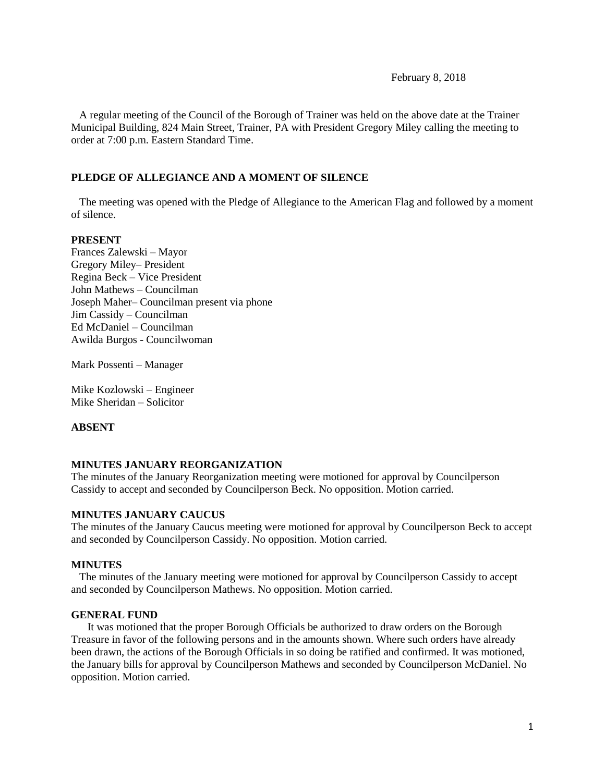February 8, 2018

 A regular meeting of the Council of the Borough of Trainer was held on the above date at the Trainer Municipal Building, 824 Main Street, Trainer, PA with President Gregory Miley calling the meeting to order at 7:00 p.m. Eastern Standard Time.

## **PLEDGE OF ALLEGIANCE AND A MOMENT OF SILENCE**

 The meeting was opened with the Pledge of Allegiance to the American Flag and followed by a moment of silence.

## **PRESENT**

Frances Zalewski – Mayor Gregory Miley– President Regina Beck – Vice President John Mathews – Councilman Joseph Maher– Councilman present via phone Jim Cassidy – Councilman Ed McDaniel – Councilman Awilda Burgos - Councilwoman

Mark Possenti – Manager

Mike Kozlowski – Engineer Mike Sheridan – Solicitor

## **ABSENT**

## **MINUTES JANUARY REORGANIZATION**

The minutes of the January Reorganization meeting were motioned for approval by Councilperson Cassidy to accept and seconded by Councilperson Beck. No opposition. Motion carried.

## **MINUTES JANUARY CAUCUS**

The minutes of the January Caucus meeting were motioned for approval by Councilperson Beck to accept and seconded by Councilperson Cassidy. No opposition. Motion carried.

#### **MINUTES**

The minutes of the January meeting were motioned for approval by Councilperson Cassidy to accept and seconded by Councilperson Mathews. No opposition. Motion carried.

#### **GENERAL FUND**

 It was motioned that the proper Borough Officials be authorized to draw orders on the Borough Treasure in favor of the following persons and in the amounts shown. Where such orders have already been drawn, the actions of the Borough Officials in so doing be ratified and confirmed. It was motioned, the January bills for approval by Councilperson Mathews and seconded by Councilperson McDaniel. No opposition. Motion carried.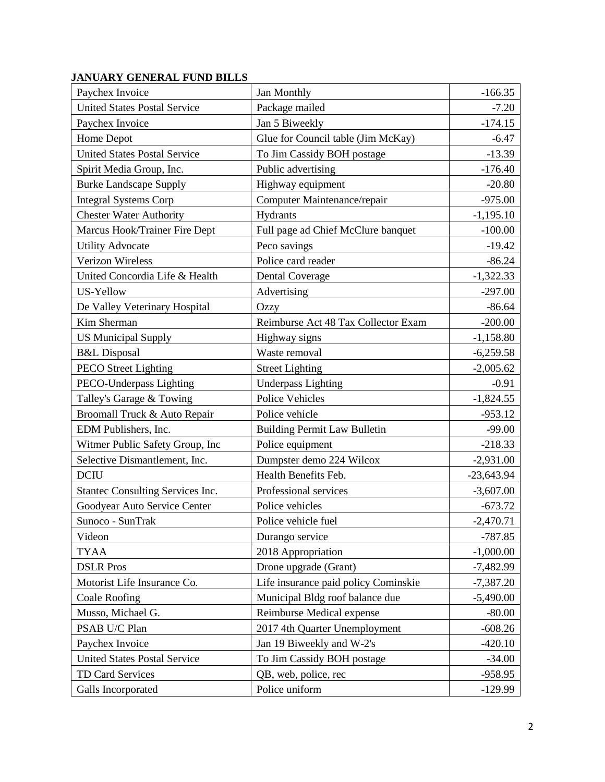# **JANUARY GENERAL FUND BILLS**

| Paychex Invoice                     | Jan Monthly                          | $-166.35$    |
|-------------------------------------|--------------------------------------|--------------|
| <b>United States Postal Service</b> | Package mailed                       | $-7.20$      |
| Paychex Invoice                     | Jan 5 Biweekly                       | $-174.15$    |
| Home Depot                          | Glue for Council table (Jim McKay)   | $-6.47$      |
| <b>United States Postal Service</b> | To Jim Cassidy BOH postage           | $-13.39$     |
| Spirit Media Group, Inc.            | Public advertising                   | $-176.40$    |
| <b>Burke Landscape Supply</b>       | Highway equipment                    | $-20.80$     |
| <b>Integral Systems Corp</b>        | Computer Maintenance/repair          | $-975.00$    |
| <b>Chester Water Authority</b>      | Hydrants                             | $-1,195.10$  |
| Marcus Hook/Trainer Fire Dept       | Full page ad Chief McClure banquet   | $-100.00$    |
| <b>Utility Advocate</b>             | Peco savings                         | $-19.42$     |
| Verizon Wireless                    | Police card reader                   | $-86.24$     |
| United Concordia Life & Health      | <b>Dental Coverage</b>               | $-1,322.33$  |
| US-Yellow                           | Advertising                          | $-297.00$    |
| De Valley Veterinary Hospital       | Ozzy                                 | $-86.64$     |
| Kim Sherman                         | Reimburse Act 48 Tax Collector Exam  | $-200.00$    |
| <b>US Municipal Supply</b>          | Highway signs                        | $-1,158.80$  |
| <b>B&amp;L</b> Disposal             | Waste removal                        | $-6,259.58$  |
| <b>PECO Street Lighting</b>         | <b>Street Lighting</b>               | $-2,005.62$  |
| PECO-Underpass Lighting             | <b>Underpass Lighting</b>            | $-0.91$      |
| Talley's Garage & Towing            | <b>Police Vehicles</b>               | $-1,824.55$  |
| Broomall Truck & Auto Repair        | Police vehicle                       | $-953.12$    |
| EDM Publishers, Inc.                | <b>Building Permit Law Bulletin</b>  | $-99.00$     |
| Witmer Public Safety Group, Inc     | Police equipment                     | $-218.33$    |
| Selective Dismantlement, Inc.       | Dumpster demo 224 Wilcox             | $-2,931.00$  |
| <b>DCIU</b>                         | Health Benefits Feb.                 | $-23,643.94$ |
| Stantec Consulting Services Inc.    | Professional services                | $-3,607.00$  |
| Goodyear Auto Service Center        | Police vehicles                      | $-673.72$    |
| Sunoco - SunTrak                    | Police vehicle fuel                  | $-2,470.71$  |
| Videon                              | Durango service                      | $-787.85$    |
| <b>TYAA</b>                         | 2018 Appropriation                   | $-1,000.00$  |
| <b>DSLR</b> Pros                    | Drone upgrade (Grant)                | $-7,482.99$  |
| Motorist Life Insurance Co.         | Life insurance paid policy Cominskie | $-7,387.20$  |
| Coale Roofing                       | Municipal Bldg roof balance due      | $-5,490.00$  |
| Musso, Michael G.                   | Reimburse Medical expense            | $-80.00$     |
| PSAB U/C Plan                       | 2017 4th Quarter Unemployment        | $-608.26$    |
| Paychex Invoice                     | Jan 19 Biweekly and W-2's            | $-420.10$    |
| <b>United States Postal Service</b> | To Jim Cassidy BOH postage           | $-34.00$     |
| TD Card Services                    | QB, web, police, rec                 | $-958.95$    |
| Galls Incorporated                  | Police uniform                       | $-129.99$    |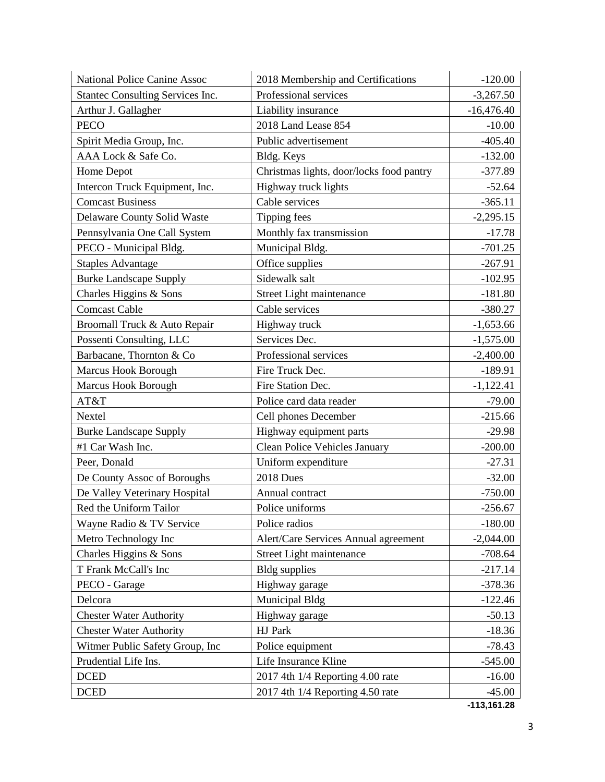| <b>National Police Canine Assoc</b> | 2018 Membership and Certifications       | $-120.00$    |
|-------------------------------------|------------------------------------------|--------------|
| Stantec Consulting Services Inc.    | Professional services                    | $-3,267.50$  |
| Arthur J. Gallagher                 | Liability insurance                      | $-16,476.40$ |
| <b>PECO</b>                         | 2018 Land Lease 854                      | $-10.00$     |
| Spirit Media Group, Inc.            | Public advertisement                     | $-405.40$    |
| AAA Lock & Safe Co.                 | Bldg. Keys                               | $-132.00$    |
| Home Depot                          | Christmas lights, door/locks food pantry | $-377.89$    |
| Intercon Truck Equipment, Inc.      | Highway truck lights                     | $-52.64$     |
| <b>Comcast Business</b>             | Cable services                           | $-365.11$    |
| Delaware County Solid Waste         | Tipping fees                             | $-2,295.15$  |
| Pennsylvania One Call System        | Monthly fax transmission                 | $-17.78$     |
| PECO - Municipal Bldg.              | Municipal Bldg.                          | $-701.25$    |
| <b>Staples Advantage</b>            | Office supplies                          | $-267.91$    |
| <b>Burke Landscape Supply</b>       | Sidewalk salt                            | $-102.95$    |
| Charles Higgins & Sons              | Street Light maintenance                 | $-181.80$    |
| <b>Comcast Cable</b>                | Cable services                           | $-380.27$    |
| Broomall Truck & Auto Repair        | Highway truck                            | $-1,653.66$  |
| Possenti Consulting, LLC            | Services Dec.                            | $-1,575.00$  |
| Barbacane, Thornton & Co            | Professional services                    | $-2,400.00$  |
| Marcus Hook Borough                 | Fire Truck Dec.                          | $-189.91$    |
| Marcus Hook Borough                 | Fire Station Dec.                        | $-1,122.41$  |
| AT&T                                | Police card data reader                  | $-79.00$     |
| Nextel                              | Cell phones December                     | $-215.66$    |
| <b>Burke Landscape Supply</b>       | Highway equipment parts                  | $-29.98$     |
| #1 Car Wash Inc.                    | <b>Clean Police Vehicles January</b>     | $-200.00$    |
| Peer, Donald                        | Uniform expenditure                      | $-27.31$     |
| De County Assoc of Boroughs         | 2018 Dues                                | $-32.00$     |
| De Valley Veterinary Hospital       | Annual contract                          | $-750.00$    |
| Red the Uniform Tailor              | Police uniforms                          | $-256.67$    |
| Wayne Radio & TV Service            | Police radios                            | $-180.00$    |
| Metro Technology Inc                | Alert/Care Services Annual agreement     | $-2,044.00$  |
| Charles Higgins & Sons              | Street Light maintenance                 | $-708.64$    |
| T Frank McCall's Inc                | <b>Bldg</b> supplies                     | $-217.14$    |
| PECO - Garage                       | Highway garage                           | $-378.36$    |
| Delcora                             | Municipal Bldg                           | $-122.46$    |
| <b>Chester Water Authority</b>      | Highway garage                           | $-50.13$     |
| <b>Chester Water Authority</b>      | HJ Park                                  | $-18.36$     |
| Witmer Public Safety Group, Inc     | Police equipment                         | $-78.43$     |
| Prudential Life Ins.                | Life Insurance Kline                     | $-545.00$    |
| <b>DCED</b>                         | 2017 4th 1/4 Reporting 4.00 rate         | $-16.00$     |
| <b>DCED</b>                         | 2017 4th 1/4 Reporting 4.50 rate         | $-45.00$     |

**-113,161.28**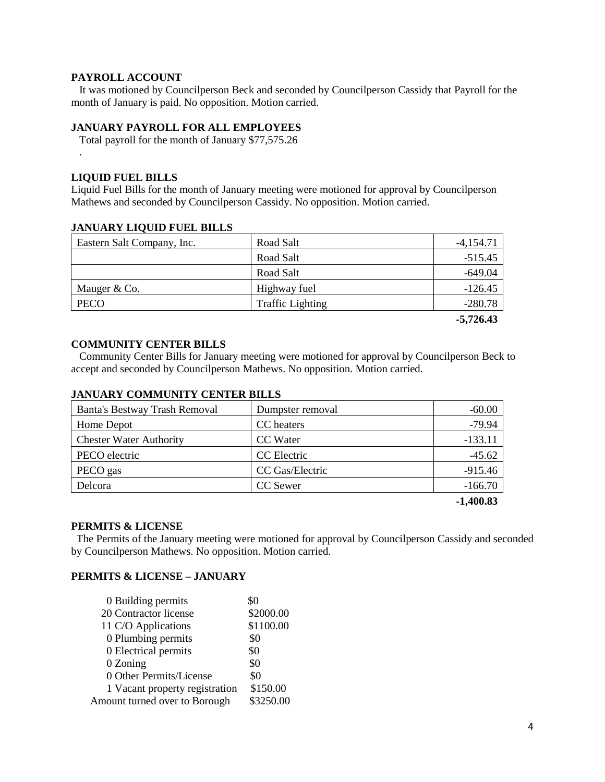#### **PAYROLL ACCOUNT**

 It was motioned by Councilperson Beck and seconded by Councilperson Cassidy that Payroll for the month of January is paid. No opposition. Motion carried.

## **JANUARY PAYROLL FOR ALL EMPLOYEES**

Total payroll for the month of January \$77,575.26

#### **LIQUID FUEL BILLS**

.

Liquid Fuel Bills for the month of January meeting were motioned for approval by Councilperson Mathews and seconded by Councilperson Cassidy. No opposition. Motion carried.

#### **JANUARY LIQUID FUEL BILLS**

| Eastern Salt Company, Inc. | Road Salt               | $-4,154.71$ |
|----------------------------|-------------------------|-------------|
|                            | Road Salt               | $-515.45$   |
|                            | Road Salt               | $-649.04$   |
| Mauger & Co.               | Highway fuel            | $-126.45$   |
| <b>PECO</b>                | <b>Traffic Lighting</b> | $-280.78$   |
|                            |                         | $-5,726.43$ |

#### **COMMUNITY CENTER BILLS**

 Community Center Bills for January meeting were motioned for approval by Councilperson Beck to accept and seconded by Councilperson Mathews. No opposition. Motion carried.

#### **JANUARY COMMUNITY CENTER BILLS**

| Banta's Bestway Trash Removal  | Dumpster removal | $-60.00$  |
|--------------------------------|------------------|-----------|
| Home Depot                     | CC heaters       | $-79.94$  |
| <b>Chester Water Authority</b> | CC Water         | $-133.11$ |
| PECO electric                  | CC Electric      | $-45.62$  |
| PECO gas                       | CC Gas/Electric  | $-915.46$ |
| Delcora                        | CC Sewer         | $-166.70$ |
|                                |                  |           |

**-1,400.83**

#### **PERMITS & LICENSE**

The Permits of the January meeting were motioned for approval by Councilperson Cassidy and seconded by Councilperson Mathews. No opposition. Motion carried.

## **PERMITS & LICENSE – JANUARY**

| 0 Building permits             | \$0       |
|--------------------------------|-----------|
| 20 Contractor license          | \$2000.00 |
| 11 C/O Applications            | \$1100.00 |
| 0 Plumbing permits             | \$0       |
| 0 Electrical permits           | \$0       |
| 0 Zoning                       | \$0       |
| 0 Other Permits/License        | \$0       |
| 1 Vacant property registration | \$150.00  |
| Amount turned over to Borough  | \$3250.00 |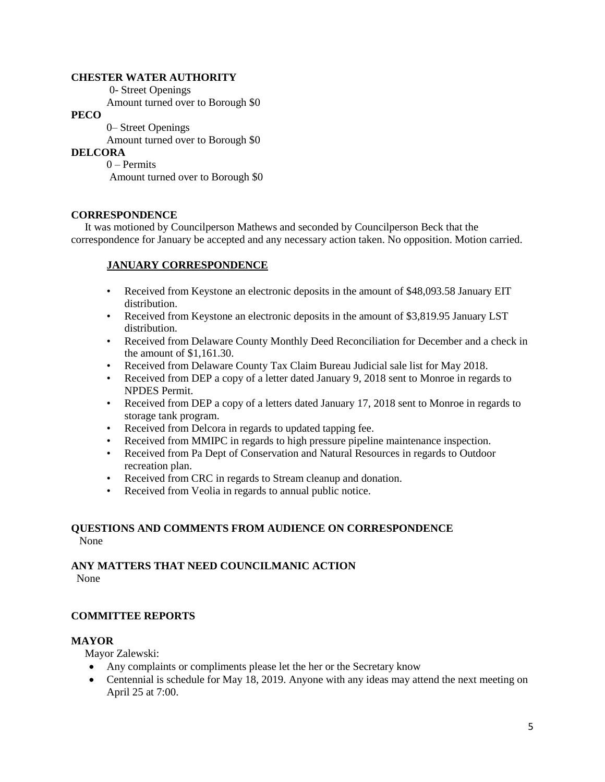#### **CHESTER WATER AUTHORITY**

0- Street Openings

Amount turned over to Borough \$0

# **PECO**

 0– Street Openings Amount turned over to Borough \$0

## **DELCORA**

0 – Permits Amount turned over to Borough \$0

## **CORRESPONDENCE**

 It was motioned by Councilperson Mathews and seconded by Councilperson Beck that the correspondence for January be accepted and any necessary action taken. No opposition. Motion carried.

# **JANUARY CORRESPONDENCE**

- Received from Keystone an electronic deposits in the amount of \$48,093.58 January EIT distribution.
- Received from Keystone an electronic deposits in the amount of \$3,819.95 January LST distribution.
- Received from Delaware County Monthly Deed Reconciliation for December and a check in the amount of \$1,161.30.
- Received from Delaware County Tax Claim Bureau Judicial sale list for May 2018.
- Received from DEP a copy of a letter dated January 9, 2018 sent to Monroe in regards to NPDES Permit.
- Received from DEP a copy of a letters dated January 17, 2018 sent to Monroe in regards to storage tank program.
- Received from Delcora in regards to updated tapping fee.
- Received from MMIPC in regards to high pressure pipeline maintenance inspection.
- Received from Pa Dept of Conservation and Natural Resources in regards to Outdoor recreation plan.
- Received from CRC in regards to Stream cleanup and donation.
- Received from Veolia in regards to annual public notice.

#### **QUESTIONS AND COMMENTS FROM AUDIENCE ON CORRESPONDENCE** None

# **ANY MATTERS THAT NEED COUNCILMANIC ACTION**

None

# **COMMITTEE REPORTS**

## **MAYOR**

Mayor Zalewski:

- Any complaints or compliments please let the her or the Secretary know
- Centennial is schedule for May 18, 2019. Anyone with any ideas may attend the next meeting on April 25 at 7:00.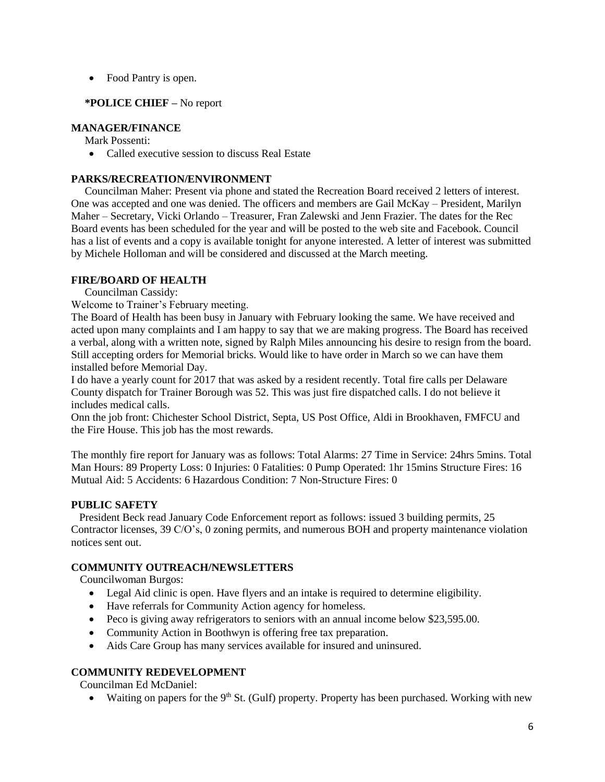• Food Pantry is open.

# **\*POLICE CHIEF –** No report

## **MANAGER/FINANCE**

Mark Possenti:

• Called executive session to discuss Real Estate

## **PARKS/RECREATION/ENVIRONMENT**

Councilman Maher: Present via phone and stated the Recreation Board received 2 letters of interest. One was accepted and one was denied. The officers and members are Gail McKay – President, Marilyn Maher – Secretary, Vicki Orlando – Treasurer, Fran Zalewski and Jenn Frazier. The dates for the Rec Board events has been scheduled for the year and will be posted to the web site and Facebook. Council has a list of events and a copy is available tonight for anyone interested. A letter of interest was submitted by Michele Holloman and will be considered and discussed at the March meeting.

# **FIRE/BOARD OF HEALTH**

Councilman Cassidy:

Welcome to Trainer's February meeting.

The Board of Health has been busy in January with February looking the same. We have received and acted upon many complaints and I am happy to say that we are making progress. The Board has received a verbal, along with a written note, signed by Ralph Miles announcing his desire to resign from the board. Still accepting orders for Memorial bricks. Would like to have order in March so we can have them installed before Memorial Day.

I do have a yearly count for 2017 that was asked by a resident recently. Total fire calls per Delaware County dispatch for Trainer Borough was 52. This was just fire dispatched calls. I do not believe it includes medical calls.

Onn the job front: Chichester School District, Septa, US Post Office, Aldi in Brookhaven, FMFCU and the Fire House. This job has the most rewards.

The monthly fire report for January was as follows: Total Alarms: 27 Time in Service: 24hrs 5mins. Total Man Hours: 89 Property Loss: 0 Injuries: 0 Fatalities: 0 Pump Operated: 1hr 15mins Structure Fires: 16 Mutual Aid: 5 Accidents: 6 Hazardous Condition: 7 Non-Structure Fires: 0

## **PUBLIC SAFETY**

 President Beck read January Code Enforcement report as follows: issued 3 building permits, 25 Contractor licenses, 39 C/O's, 0 zoning permits, and numerous BOH and property maintenance violation notices sent out.

# **COMMUNITY OUTREACH/NEWSLETTERS**

Councilwoman Burgos:

- Legal Aid clinic is open. Have flyers and an intake is required to determine eligibility.
- Have referrals for Community Action agency for homeless.
- Peco is giving away refrigerators to seniors with an annual income below \$23,595.00.
- Community Action in Boothwyn is offering free tax preparation.
- Aids Care Group has many services available for insured and uninsured.

## **COMMUNITY REDEVELOPMENT**

Councilman Ed McDaniel:

• Waiting on papers for the  $9<sup>th</sup>$  St. (Gulf) property. Property has been purchased. Working with new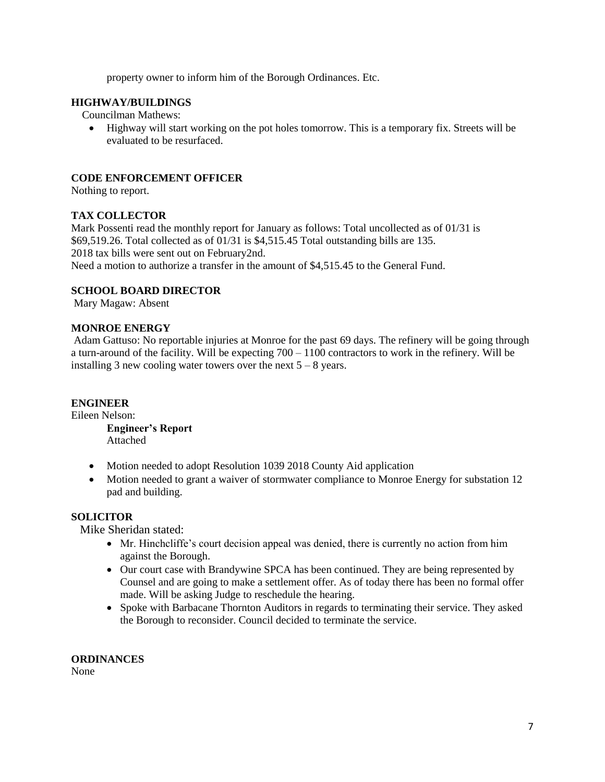property owner to inform him of the Borough Ordinances. Etc.

# **HIGHWAY/BUILDINGS**

Councilman Mathews:

 Highway will start working on the pot holes tomorrow. This is a temporary fix. Streets will be evaluated to be resurfaced.

# **CODE ENFORCEMENT OFFICER**

Nothing to report.

## **TAX COLLECTOR**

Mark Possenti read the monthly report for January as follows: Total uncollected as of 01/31 is \$69,519.26. Total collected as of 01/31 is \$4,515.45 Total outstanding bills are 135. 2018 tax bills were sent out on February2nd.

Need a motion to authorize a transfer in the amount of \$4,515.45 to the General Fund.

# **SCHOOL BOARD DIRECTOR**

Mary Magaw: Absent

## **MONROE ENERGY**

Adam Gattuso: No reportable injuries at Monroe for the past 69 days. The refinery will be going through a turn-around of the facility. Will be expecting 700 – 1100 contractors to work in the refinery. Will be installing 3 new cooling water towers over the next  $5 - 8$  years.

## **ENGINEER**

Eileen Nelson:

**Engineer's Report** Attached

- Motion needed to adopt Resolution 1039 2018 County Aid application
- Motion needed to grant a waiver of stormwater compliance to Monroe Energy for substation 12 pad and building.

# **SOLICITOR**

Mike Sheridan stated:

- Mr. Hinchcliffe's court decision appeal was denied, there is currently no action from him against the Borough.
- Our court case with Brandywine SPCA has been continued. They are being represented by Counsel and are going to make a settlement offer. As of today there has been no formal offer made. Will be asking Judge to reschedule the hearing.
- Spoke with Barbacane Thornton Auditors in regards to terminating their service. They asked the Borough to reconsider. Council decided to terminate the service.

**ORDINANCES**

None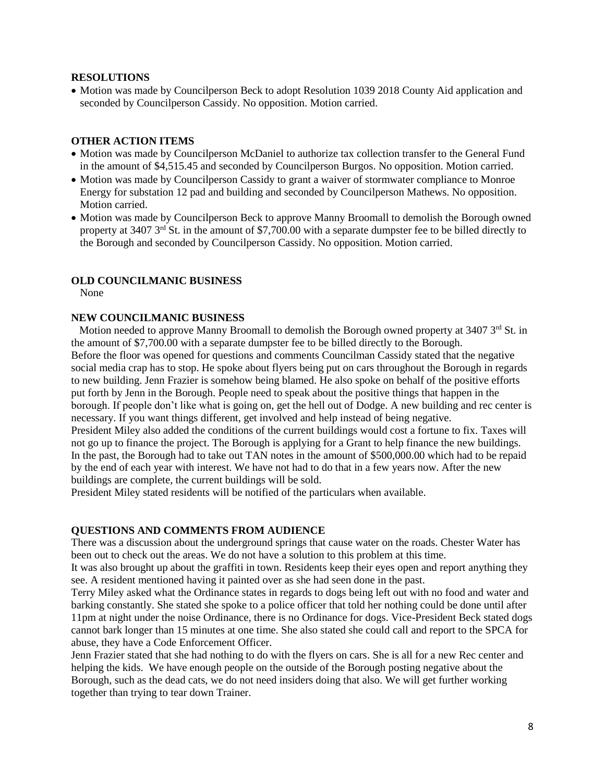#### **RESOLUTIONS**

• Motion was made by Councilperson Beck to adopt Resolution 1039 2018 County Aid application and seconded by Councilperson Cassidy. No opposition. Motion carried.

#### **OTHER ACTION ITEMS**

- Motion was made by Councilperson McDaniel to authorize tax collection transfer to the General Fund in the amount of \$4,515.45 and seconded by Councilperson Burgos. No opposition. Motion carried.
- Motion was made by Councilperson Cassidy to grant a waiver of stormwater compliance to Monroe Energy for substation 12 pad and building and seconded by Councilperson Mathews. No opposition. Motion carried.
- Motion was made by Councilperson Beck to approve Manny Broomall to demolish the Borough owned property at 3407 3rd St. in the amount of \$7,700.00 with a separate dumpster fee to be billed directly to the Borough and seconded by Councilperson Cassidy. No opposition. Motion carried.

#### **OLD COUNCILMANIC BUSINESS**

None

#### **NEW COUNCILMANIC BUSINESS**

Motion needed to approve Manny Broomall to demolish the Borough owned property at  $3407 \,$ 3<sup>rd</sup> St. in the amount of \$7,700.00 with a separate dumpster fee to be billed directly to the Borough. Before the floor was opened for questions and comments Councilman Cassidy stated that the negative social media crap has to stop. He spoke about flyers being put on cars throughout the Borough in regards to new building. Jenn Frazier is somehow being blamed. He also spoke on behalf of the positive efforts put forth by Jenn in the Borough. People need to speak about the positive things that happen in the borough. If people don't like what is going on, get the hell out of Dodge. A new building and rec center is necessary. If you want things different, get involved and help instead of being negative.

President Miley also added the conditions of the current buildings would cost a fortune to fix. Taxes will not go up to finance the project. The Borough is applying for a Grant to help finance the new buildings. In the past, the Borough had to take out TAN notes in the amount of \$500,000.00 which had to be repaid by the end of each year with interest. We have not had to do that in a few years now. After the new buildings are complete, the current buildings will be sold.

President Miley stated residents will be notified of the particulars when available.

#### **QUESTIONS AND COMMENTS FROM AUDIENCE**

There was a discussion about the underground springs that cause water on the roads. Chester Water has been out to check out the areas. We do not have a solution to this problem at this time.

It was also brought up about the graffiti in town. Residents keep their eyes open and report anything they see. A resident mentioned having it painted over as she had seen done in the past.

Terry Miley asked what the Ordinance states in regards to dogs being left out with no food and water and barking constantly. She stated she spoke to a police officer that told her nothing could be done until after 11pm at night under the noise Ordinance, there is no Ordinance for dogs. Vice-President Beck stated dogs cannot bark longer than 15 minutes at one time. She also stated she could call and report to the SPCA for abuse, they have a Code Enforcement Officer.

Jenn Frazier stated that she had nothing to do with the flyers on cars. She is all for a new Rec center and helping the kids. We have enough people on the outside of the Borough posting negative about the Borough, such as the dead cats, we do not need insiders doing that also. We will get further working together than trying to tear down Trainer.